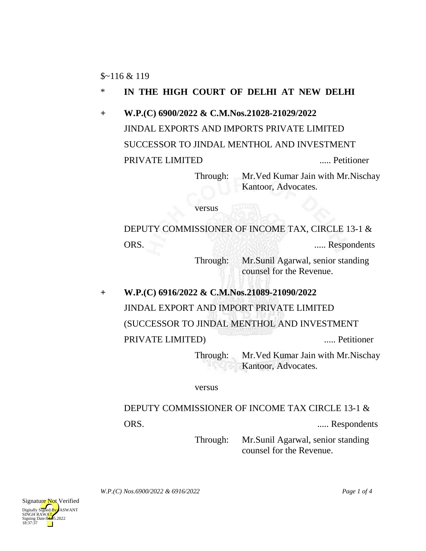## \* **IN THE HIGH COURT OF DELHI AT NEW DELHI**

**+ W.P.(C) 6900/2022 & C.M.Nos.21028-21029/2022** JINDAL EXPORTS AND IMPORTS PRIVATE LIMITED SUCCESSOR TO JINDAL MENTHOL AND INVESTMENT PRIVATE LIMITED ..... Petitioner

Through: Mr.Ved Kumar Jain with Mr.Nischay Kantoor, Advocates.

versus

DEPUTY COMMISSIONER OF INCOME TAX, CIRCLE 13-1 & ORS. ..... Respondents

> Through: Mr.Sunil Agarwal, senior standing counsel for the Revenue.

**+ W.P.(C) 6916/2022 & C.M.Nos.21089-21090/2022** JINDAL EXPORT AND IMPORT PRIVATE LIMITED (SUCCESSOR TO JINDAL MENTHOL AND INVESTMENT PRIVATE LIMITED) ..... Petitioner

Through: Mr.Ved Kumar Jain with Mr.Nischay Kantoor, Advocates.

versus

# DEPUTY COMMISSIONER OF INCOME TAX CIRCLE 13-1 & ORS. ..... Respondents

Through: Mr.Sunil Agarwal, senior standing counsel for the Revenue.

*W.P.(C) Nos.6900/2022 & 6916/2022 Page 1 of 4*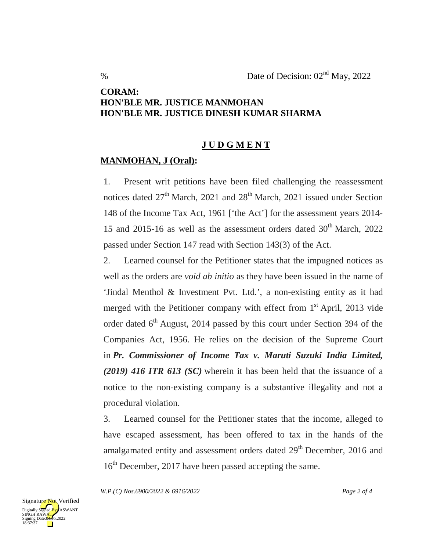### **CORAM: HON'BLE MR. JUSTICE MANMOHAN HON'BLE MR. JUSTICE DINESH KUMAR SHARMA**

#### **J U D G M E N T**

#### **MANMOHAN, J (Oral):**

1. Present writ petitions have been filed challenging the reassessment notices dated  $27<sup>th</sup>$  March, 2021 and  $28<sup>th</sup>$  March, 2021 issued under Section 148 of the Income Tax Act, 1961 ['the Act'] for the assessment years 2014- 15 and 2015-16 as well as the assessment orders dated  $30<sup>th</sup>$  March, 2022 passed under Section 147 read with Section 143(3) of the Act.

2. Learned counsel for the Petitioner states that the impugned notices as well as the orders are *void ab initio* as they have been issued in the name of 'Jindal Menthol & Investment Pvt. Ltd.', a non-existing entity as it had merged with the Petitioner company with effect from  $1<sup>st</sup>$  April, 2013 vide order dated  $6<sup>th</sup>$  August, 2014 passed by this court under Section 394 of the Companies Act, 1956. He relies on the decision of the Supreme Court in *Pr. Commissioner of Income Tax v. Maruti Suzuki India Limited, (2019) 416 ITR 613 (SC)* wherein it has been held that the issuance of a notice to the non-existing company is a substantive illegality and not a procedural violation.

3. Learned counsel for the Petitioner states that the income, alleged to have escaped assessment, has been offered to tax in the hands of the amalgamated entity and assessment orders dated 29<sup>th</sup> December, 2016 and 16<sup>th</sup> December, 2017 have been passed accepting the same.

*W.P.(C) Nos.6900/2022 & 6916/2022 Page 2 of 4*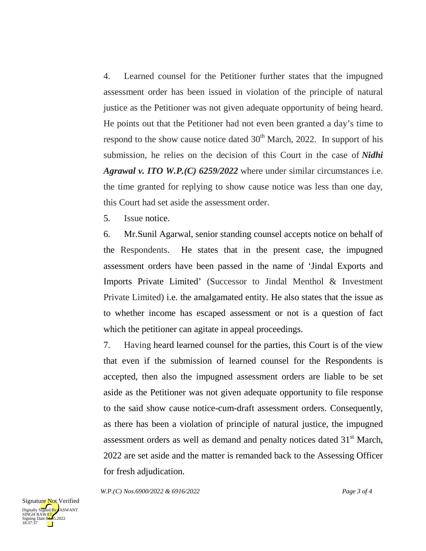4. Learned counsel for the Petitioner further states that the impugned assessment order has been issued in violation of the principle of natural justice as the Petitioner was not given adequate opportunity of being heard. He points out that the Petitioner had not even been granted a day's time to respond to the show cause notice dated  $30<sup>th</sup>$  March, 2022. In support of his submission, he relies on the decision of this Court in the case of *Nidhi Agrawal v. ITO W.P.(C) 6259/2022* where under similar circumstances i.e. the time granted for replying to show cause notice was less than one day, this Court had set aside the assessment order.

5. Issue notice.

6. Mr.Sunil Agarwal, senior standing counsel accepts notice on behalf of the Respondents. He states that in the present case, the impugned assessment orders have been passed in the name of 'Jindal Exports and Imports Private Limited' (Successor to Jindal Menthol & Investment Private Limited) i.e. the amalgamated entity. He also states that the issue as to whether income has escaped assessment or not is a question of fact which the petitioner can agitate in appeal proceedings.

7. Having heard learned counsel for the parties, this Court is of the view that even if the submission of learned counsel for the Respondents is accepted, then also the impugned assessment orders are liable to be set aside as the Petitioner was not given adequate opportunity to file response to the said show cause notice-cum-draft assessment orders. Consequently, as there has been a violation of principle of natural justice, the impugned assessment orders as well as demand and penalty notices dated 31<sup>st</sup> March, 2022 are set aside and the matter is remanded back to the Assessing Officer for fresh adjudication.

*W.P.(C) Nos.6900/2022 & 6916/2022 Page 3 of 4*